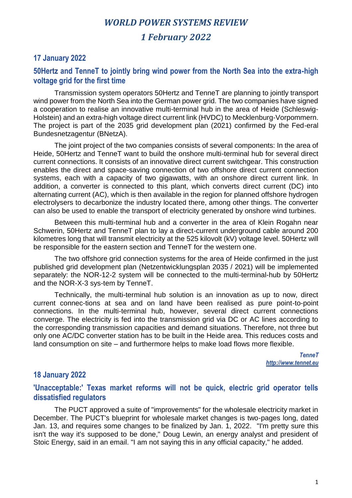## *1 February 2022*

#### **17 January 2022**

#### **50Hertz and TenneT to jointly bring wind power from the North Sea into the extra-high voltage grid for the first time**

Transmission system operators 50Hertz and TenneT are planning to jointly transport wind power from the North Sea into the German power grid. The two companies have signed a cooperation to realise an innovative multi-terminal hub in the area of Heide (Schleswig-Holstein) and an extra-high voltage direct current link (HVDC) to Mecklenburg-Vorpommern. The project is part of the 2035 grid development plan (2021) confirmed by the Fed-eral Bundesnetzagentur (BNetzA).

The joint project of the two companies consists of several components: In the area of Heide, 50Hertz and TenneT want to build the onshore multi-terminal hub for several direct current connections. It consists of an innovative direct current switchgear. This construction enables the direct and space-saving connection of two offshore direct current connection systems, each with a capacity of two gigawatts, with an onshore direct current link. In addition, a converter is connected to this plant, which converts direct current (DC) into alternating current (AC), which is then available in the region for planned offshore hydrogen electrolysers to decarbonize the industry located there, among other things. The converter can also be used to enable the transport of electricity generated by onshore wind turbines.

Between this multi-terminal hub and a converter in the area of Klein Rogahn near Schwerin, 50Hertz and TenneT plan to lay a direct-current underground cable around 200 kilometres long that will transmit electricity at the 525 kilovolt (kV) voltage level. 50Hertz will be responsible for the eastern section and TenneT for the western one.

The two offshore grid connection systems for the area of Heide confirmed in the just published grid development plan (Netzentwicklungsplan 2035 / 2021) will be implemented separately: the NOR-12-2 system will be connected to the multi-terminal-hub by 50Hertz and the NOR-X-3 sys-tem by TenneT.

Technically, the multi-terminal hub solution is an innovation as up to now, direct current connec-tions at sea and on land have been realised as pure point-to-point connections. In the multi-terminal hub, however, several direct current connections converge. The electricity is fed into the transmission grid via DC or AC lines according to the corresponding transmission capacities and demand situations. Therefore, not three but only one AC/DC converter station has to be built in the Heide area. This reduces costs and land consumption on site – and furthermore helps to make load flows more flexible.

> *TenneT http://www.tennet.eu*

### **18 January 2022**

### **'Unacceptable:' Texas market reforms will not be quick, electric grid operator tells dissatisfied regulators**

The PUCT approved a suite of "improvements" for the wholesale electricity market in December. The PUCT's blueprint for wholesale market changes is two-pages long, dated Jan. 13, and requires some changes to be finalized by Jan. 1, 2022. "I'm pretty sure this isn't the way it's supposed to be done," Doug Lewin, an energy analyst and president of Stoic Energy, said in an email. "I am not saying this in any official capacity," he added.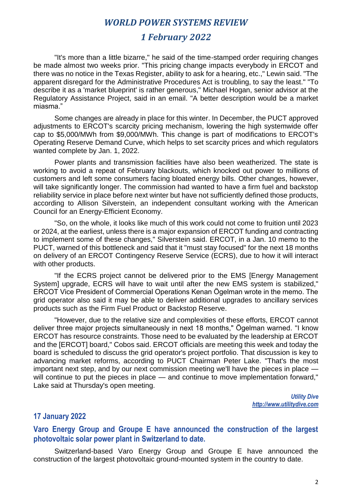## *1 February 2022*

"It's more than a little bizarre," he said of the time-stamped order requiring changes be made almost two weeks prior. "This pricing change impacts everybody in ERCOT and there was no notice in the Texas Register, ability to ask for a hearing, etc.," Lewin said. "The apparent disregard for the Administrative Procedures Act is troubling, to say the least." "To describe it as a 'market blueprint' is rather generous," Michael Hogan, senior advisor at the Regulatory Assistance Project, said in an email. "A better description would be a market miasma."

Some changes are already in place for this winter. In December, the PUCT approved adjustments to ERCOT's scarcity pricing mechanism, lowering the high systemwide offer cap to \$5,000/MWh from \$9,000/MWh. This change is part of modifications to ERCOT's Operating Reserve Demand Curve, which helps to set scarcity prices and which regulators wanted complete by Jan. 1, 2022.

Power plants and transmission facilities have also been weatherized. The state is working to avoid a repeat of February blackouts, which knocked out power to millions of customers and left some consumers facing bloated energy bills. Other changes, however, will take significantly longer. The commission had wanted to have a firm fuel and backstop reliability service in place before next winter but have not sufficiently defined those products, according to Allison Silverstein, an independent consultant working with the American Council for an Energy-Efficient Economy.

"So, on the whole, it looks like much of this work could not come to fruition until 2023 or 2024, at the earliest, unless there is a major expansion of ERCOT funding and contracting to implement some of these changes," Silverstein said. ERCOT, in a Jan. 10 memo to the PUCT, warned of this bottleneck and said that it "must stay focused" for the next 18 months on delivery of an ERCOT Contingency Reserve Service (ECRS), due to how it will interact with other products.

"If the ECRS project cannot be delivered prior to the EMS [Energy Management System] upgrade, ECRS will have to wait until after the new EMS system is stabilized," ERCOT Vice President of Commercial Operations Kenan Ögelman wrote in the memo. The grid operator also said it may be able to deliver additional upgrades to ancillary services products such as the Firm Fuel Product or Backstop Reserve.

"However, due to the relative size and complexities of these efforts, ERCOT cannot deliver three major projects simultaneously in next 18 months," Ögelman warned. "I know ERCOT has resource constraints. Those need to be evaluated by the leadership at ERCOT and the [ERCOT] board," Cobos said. ERCOT officials are meeting this week and today the board is scheduled to discuss the grid operator's project portfolio. That discussion is key to advancing market reforms, according to PUCT Chairman Peter Lake. "That's the most important next step, and by our next commission meeting we'll have the pieces in place will continue to put the pieces in place — and continue to move implementation forward," Lake said at Thursday's open meeting.

> *Utility Dive http://www.utilitydive.com*

#### **17 January 2022**

#### **Varo Energy Group and Groupe E have announced the construction of the largest photovoltaic solar power plant in Switzerland to date.**

Switzerland-based Varo Energy Group and Groupe E have announced the construction of the largest photovoltaic ground-mounted system in the country to date.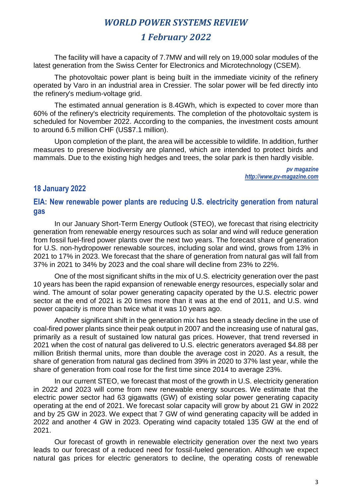# *1 February 2022*

The facility will have a capacity of 7.7MW and will rely on 19,000 solar modules of the latest generation from the Swiss Center for Electronics and Microtechnology (CSEM).

The photovoltaic power plant is being built in the immediate vicinity of the refinery operated by Varo in an industrial area in Cressier. The solar power will be fed directly into the refinery's medium-voltage grid.

The estimated annual generation is 8.4GWh, which is expected to cover more than 60% of the refinery's electricity requirements. The completion of the photovoltaic system is scheduled for November 2022. According to the companies, the investment costs amount to around 6.5 million CHF (US\$7.1 million).

Upon completion of the plant, the area will be accessible to wildlife. In addition, further measures to preserve biodiversity are planned, which are intended to protect birds and mammals. Due to the existing high hedges and trees, the solar park is then hardly visible.

> *pv magazine http://www.pv-magazine.com*

#### **18 January 2022**

### **EIA: New renewable power plants are reducing U.S. electricity generation from natural gas**

In our January Short-Term Energy Outlook (STEO), we forecast that rising electricity generation from renewable energy resources such as solar and wind will reduce generation from fossil fuel-fired power plants over the next two years. The forecast share of generation for U.S. non-hydropower renewable sources, including solar and wind, grows from 13% in 2021 to 17% in 2023. We forecast that the share of generation from natural gas will fall from 37% in 2021 to 34% by 2023 and the coal share will decline from 23% to 22%.

One of the most significant shifts in the mix of U.S. electricity generation over the past 10 years has been the rapid expansion of renewable energy resources, especially solar and wind. The amount of solar power generating capacity operated by the U.S. electric power sector at the end of 2021 is 20 times more than it was at the end of 2011, and U.S. wind power capacity is more than twice what it was 10 years ago.

Another significant shift in the generation mix has been a steady decline in the use of coal-fired power plants since their peak output in 2007 and the increasing use of natural gas, primarily as a result of sustained low natural gas prices. However, that trend reversed in 2021 when the cost of natural gas delivered to U.S. electric generators averaged \$4.88 per million British thermal units, more than double the average cost in 2020. As a result, the share of generation from natural gas declined from 39% in 2020 to 37% last year, while the share of generation from coal rose for the first time since 2014 to average 23%.

In our current STEO, we forecast that most of the growth in U.S. electricity generation in 2022 and 2023 will come from new renewable energy sources. We estimate that the electric power sector had 63 gigawatts (GW) of existing solar power generating capacity operating at the end of 2021. We forecast solar capacity will grow by about 21 GW in 2022 and by 25 GW in 2023. We expect that 7 GW of wind generating capacity will be added in 2022 and another 4 GW in 2023. Operating wind capacity totaled 135 GW at the end of 2021.

Our forecast of growth in renewable electricity generation over the next two years leads to our forecast of a reduced need for fossil-fueled generation. Although we expect natural gas prices for electric generators to decline, the operating costs of renewable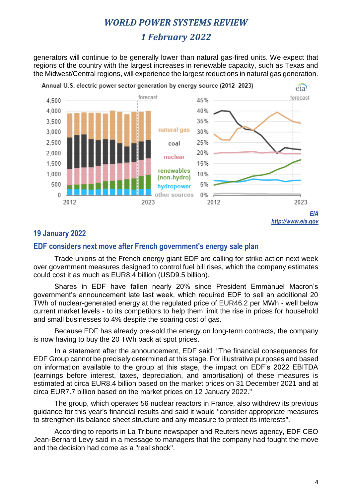# *1 February 2022*

generators will continue to be generally lower than natural gas-fired units. We expect that regions of the country with the largest increases in renewable capacity, such as Texas and the Midwest/Central regions, will experience the largest reductions in natural gas generation.



## **19 January 2022**

#### **EDF considers next move after French government's energy sale plan**

Trade unions at the French energy giant EDF are calling for strike action next week over government measures designed to control fuel bill rises, which the company estimates could cost it as much as EUR8.4 billion (USD9.5 billion).

Shares in EDF have fallen nearly 20% since President Emmanuel Macron's government's announcement late last week, which required EDF to sell an additional 20 TWh of nuclear-generated energy at the regulated price of EUR46.2 per MWh - well below current market levels - to its competitors to help them limit the rise in prices for household and small businesses to 4% despite the soaring cost of gas.

Because EDF has already pre-sold the energy on long-term contracts, the company is now having to buy the 20 TWh back at spot prices.

In a statement after the announcement, EDF said: "The financial consequences for EDF Group cannot be precisely determined at this stage. For illustrative purposes and based on information available to the group at this stage, the impact on EDF's 2022 EBITDA (earnings before interest, taxes, depreciation, and amortisation) of these measures is estimated at circa EUR8.4 billion based on the market prices on 31 December 2021 and at circa EUR7.7 billion based on the market prices on 12 January 2022."

The group, which operates 56 nuclear reactors in France, also withdrew its previous guidance for this year's financial results and said it would "consider appropriate measures to strengthen its balance sheet structure and any measure to protect its interests".

According to reports in La Tribune newspaper and Reuters news agency, EDF CEO Jean-Bernard Levy said in a message to managers that the company had fought the move and the decision had come as a "real shock".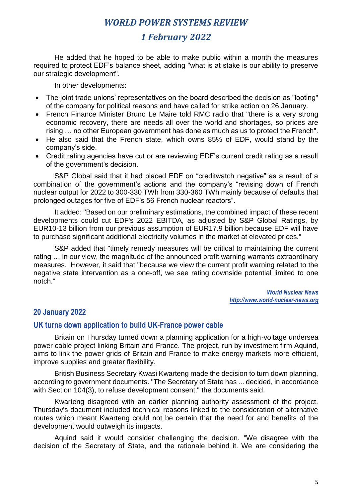# *1 February 2022*

He added that he hoped to be able to make public within a month the measures required to protect EDF's balance sheet, adding "what is at stake is our ability to preserve our strategic development".

In other developments:

- The joint trade unions' representatives on the board described the decision as "looting" of the company for political reasons and have called for strike action on 26 January.
- French Finance Minister Bruno Le Maire told RMC radio that "there is a very strong economic recovery, there are needs all over the world and shortages, so prices are rising … no other European government has done as much as us to protect the French".
- He also said that the French state, which owns 85% of EDF, would stand by the company's side.
- Credit rating agencies have cut or are reviewing EDF's current credit rating as a result of the government's decision.

S&P Global said that it had placed EDF on "creditwatch negative" as a result of a combination of the government's actions and the company's "revising down of French nuclear output for 2022 to 300-330 TWh from 330-360 TWh mainly because of defaults that prolonged outages for five of EDF's 56 French nuclear reactors".

It added: "Based on our preliminary estimations, the combined impact of these recent developments could cut EDF's 2022 EBITDA, as adjusted by S&P Global Ratings, by EUR10-13 billion from our previous assumption of EUR17.9 billion because EDF will have to purchase significant additional electricity volumes in the market at elevated prices."

S&P added that "timely remedy measures will be critical to maintaining the current rating … in our view, the magnitude of the announced profit warning warrants extraordinary measures. However, it said that "because we view the current profit warning related to the negative state intervention as a one-off, we see rating downside potential limited to one notch."

> *World Nuclear News http://www.world-nuclear-news.org*

### **20 January 2022**

#### **UK turns down application to build UK-France power cable**

Britain on Thursday turned down a planning application for a high-voltage undersea power cable project linking Britain and France. The project, run by investment firm Aquind, aims to link the power grids of Britain and France to make energy markets more efficient, improve supplies and greater flexibility.

British Business Secretary Kwasi Kwarteng made the decision to turn down planning, according to government documents. "The Secretary of State has ... decided, in accordance with Section 104(3), to refuse development consent," the documents said.

Kwarteng disagreed with an earlier planning authority assessment of the project. Thursday's document included technical reasons linked to the consideration of alternative routes which meant Kwarteng could not be certain that the need for and benefits of the development would outweigh its impacts.

Aquind said it would consider challenging the decision. "We disagree with the decision of the Secretary of State, and the rationale behind it. We are considering the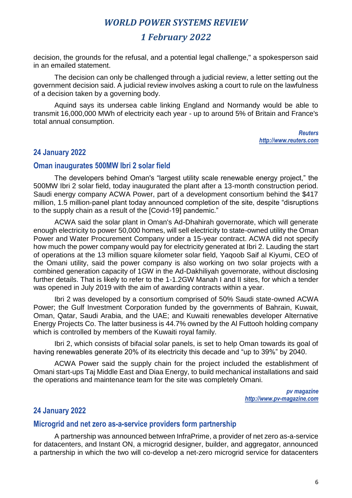# *1 February 2022*

decision, the grounds for the refusal, and a potential legal challenge," a spokesperson said in an emailed statement.

The decision can only be challenged through a judicial review, a letter setting out the government decision said. A judicial review involves asking a court to rule on the lawfulness of a decision taken by a governing body.

Aquind says its undersea cable linking England and Normandy would be able to transmit 16,000,000 MWh of electricity each year - up to around 5% of Britain and France's total annual consumption.

> *Reuters http://www.reuters.com*

### **24 January 2022**

#### **Oman inaugurates 500MW Ibri 2 solar field**

The developers behind Oman's "largest utility scale renewable energy project," the 500MW Ibri 2 solar field, today inaugurated the plant after a 13-month construction period. Saudi energy company ACWA Power, part of a development consortium behind the \$417 million, 1.5 million-panel plant today announced completion of the site, despite "disruptions to the supply chain as a result of the [Covid-19] pandemic."

ACWA said the solar plant in Oman's Ad-Dhahirah governorate, which will generate enough electricity to power 50,000 homes, will sell electricity to state-owned utility the Oman Power and Water Procurement Company under a 15-year contract. ACWA did not specify how much the power company would pay for electricity generated at Ibri 2. Lauding the start of operations at the 13 million square kilometer solar field, Yaqoob Saif al Kiyumi, CEO of the Omani utility, said the power company is also working on two solar projects with a combined generation capacity of 1GW in the Ad-Dakhiliyah governorate, without disclosing further details. That is likely to refer to the 1-1.2GW Manah I and II sites, for which a tender was opened in July 2019 with the aim of awarding contracts within a year.

Ibri 2 was developed by a consortium comprised of 50% Saudi state-owned ACWA Power; the Gulf Investment Corporation funded by the governments of Bahrain, Kuwait, Oman, Qatar, Saudi Arabia, and the UAE; and Kuwaiti renewables developer Alternative Energy Projects Co. The latter business is 44.7% owned by the Al Futtooh holding company which is controlled by members of the Kuwaiti royal family.

Ibri 2, which consists of bifacial solar panels, is set to help Oman towards its goal of having renewables generate 20% of its electricity this decade and "up to 39%" by 2040.

ACWA Power said the supply chain for the project included the establishment of Omani start-ups Taj Middle East and Diaa Energy, to build mechanical installations and said the operations and maintenance team for the site was completely Omani.

> *pv magazine [http://www.pv-magazine.com](http://www.pv-magazine.com/)*

### **24 January 2022**

#### **Microgrid and net zero as-a-service providers form partnership**

A partnership was announced between InfraPrime, a provider of net zero as-a-service for datacenters, and Instant ON, a microgrid designer, builder, and aggregator, announced a partnership in which the two will co-develop a net-zero microgrid service for datacenters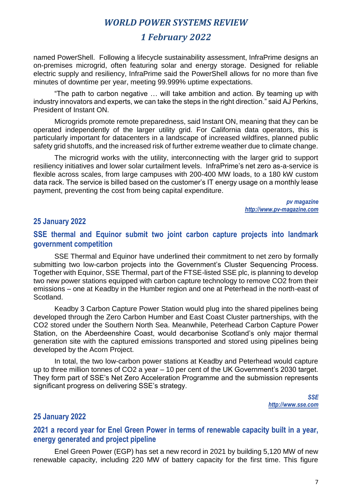# *1 February 2022*

named PowerShell. Following a lifecycle sustainability assessment, InfraPrime designs an on-premises microgrid, often featuring solar and energy storage. Designed for reliable electric supply and resiliency, InfraPrime said the PowerShell allows for no more than five minutes of downtime per year, meeting 99.999% uptime expectations.

"The path to carbon negative … will take ambition and action. By teaming up with industry innovators and experts, we can take the steps in the right direction." said AJ Perkins, President of Instant ON.

Microgrids promote remote preparedness, said Instant ON, meaning that they can be operated independently of the larger utility grid. For California data operators, this is particularly important for datacenters in a landscape of increased wildfires, planned public safety grid shutoffs, and the increased risk of further extreme weather due to climate change.

The microgrid works with the utility, interconnecting with the larger grid to support resiliency initiatives and lower solar curtailment levels. InfraPrime's net zero as-a-service is flexible across scales, from large campuses with 200-400 MW loads, to a 180 kW custom data rack. The service is billed based on the customer's IT energy usage on a monthly lease payment, preventing the cost from being capital expenditure.

> *pv magazine [http://www.pv-magazine.com](http://www.pv-magazine.com/)*

#### **25 January 2022**

#### **SSE thermal and Equinor submit two joint carbon capture projects into landmark government competition**

SSE Thermal and Equinor have underlined their commitment to net zero by formally submitting two low-carbon projects into the Government's Cluster Sequencing Process. Together with Equinor, SSE Thermal, part of the FTSE-listed SSE plc, is planning to develop two new power stations equipped with carbon capture technology to remove CO2 from their emissions – one at Keadby in the Humber region and one at Peterhead in the north-east of Scotland.

Keadby 3 Carbon Capture Power Station would plug into the shared pipelines being developed through the Zero Carbon Humber and East Coast Cluster partnerships, with the CO2 stored under the Southern North Sea. Meanwhile, Peterhead Carbon Capture Power Station, on the Aberdeenshire Coast, would decarbonise Scotland's only major thermal generation site with the captured emissions transported and stored using pipelines being developed by the Acorn Project.

In total, the two low-carbon power stations at Keadby and Peterhead would capture up to three million tonnes of CO2 a year – 10 per cent of the UK Government's 2030 target. They form part of SSE's Net Zero Acceleration Programme and the submission represents significant progress on delivering SSE's strategy.

> *SSE http://www.sse.com*

#### **25 January 2022**

### **2021 a record year for Enel Green Power in terms of renewable capacity built in a year, energy generated and project pipeline**

Enel Green Power (EGP) has set a new record in 2021 by building 5,120 MW of new renewable capacity, including 220 MW of battery capacity for the first time. This figure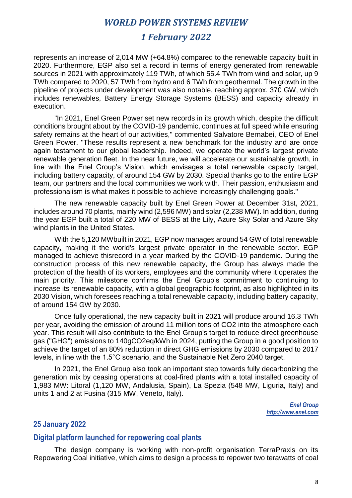# *1 February 2022*

represents an increase of 2,014 MW (+64.8%) compared to the renewable capacity built in 2020. Furthermore, EGP also set a record in terms of energy generated from renewable sources in 2021 with approximately 119 TWh, of which 55.4 TWh from wind and solar, up 9 TWh compared to 2020, 57 TWh from hydro and 6 TWh from geothermal. The growth in the pipeline of projects under development was also notable, reaching approx. 370 GW, which includes renewables, Battery Energy Storage Systems (BESS) and capacity already in execution.

"In 2021, Enel Green Power set new records in its growth which, despite the difficult conditions brought about by the COVID-19 pandemic, continues at full speed while ensuring safety remains at the heart of our activities," commented Salvatore Bernabei, CEO of Enel Green Power. "These results represent a new benchmark for the industry and are once again testament to our global leadership. Indeed, we operate the world's largest private renewable generation fleet. In the near future, we will accelerate our sustainable growth, in line with the Enel Group's Vision, which envisages a total renewable capacity target, including battery capacity, of around 154 GW by 2030. Special thanks go to the entire EGP team, our partners and the local communities we work with. Their passion, enthusiasm and professionalism is what makes it possible to achieve increasingly challenging goals."

The new renewable capacity built by Enel Green Power at December 31st, 2021, includes around 70 plants, mainly wind (2,596 MW) and solar (2,238 MW). In addition, during the year EGP built a total of 220 MW of BESS at the Lily, Azure Sky Solar and Azure Sky wind plants in the United States.

With the 5,120 MWbuilt in 2021, EGP now manages around 54 GW of total renewable capacity, making it the world's largest private operator in the renewable sector. EGP managed to achieve thisrecord in a year marked by the COVID-19 pandemic. During the construction process of this new renewable capacity, the Group has always made the protection of the health of its workers, employees and the community where it operates the main priority. This milestone confirms the Enel Group's commitment to continuing to increase its renewable capacity, with a global geographic footprint, as also highlighted in its 2030 Vision, which foresees reaching a total renewable capacity, including battery capacity, of around 154 GW by 2030.

Once fully operational, the new capacity built in 2021 will produce around 16.3 TWh per year, avoiding the emission of around 11 million tons of CO2 into the atmosphere each year. This result will also contribute to the Enel Group's target to reduce direct greenhouse gas ("GHG") emissions to 140gCO2eq/kWh in 2024, putting the Group in a good position to achieve the target of an 80% reduction in direct GHG emissions by 2030 compared to 2017 levels, in line with the 1.5°C scenario, and the Sustainable Net Zero 2040 target.

In 2021, the Enel Group also took an important step towards fully decarbonizing the generation mix by ceasing operations at coal-fired plants with a total installed capacity of 1,983 MW: Litoral (1,120 MW, Andalusia, Spain), La Spezia (548 MW, Liguria, Italy) and units 1 and 2 at Fusina (315 MW, Veneto, Italy).

> *Enel Group http://www.enel.com*

## **25 January 2022**

## **Digital platform launched for repowering coal plants**

The design company is working with non-profit organisation TerraPraxis on its Repowering Coal initiative, which aims to design a process to repower two terawatts of coal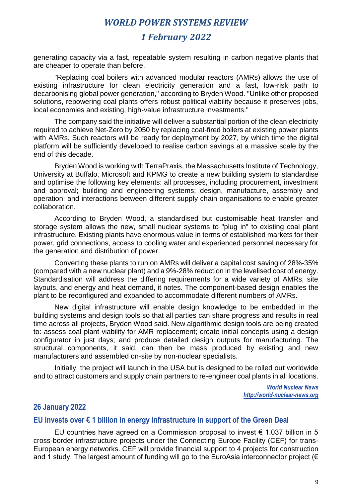# *1 February 2022*

generating capacity via a fast, repeatable system resulting in carbon negative plants that are cheaper to operate than before.

"Replacing coal boilers with advanced modular reactors (AMRs) allows the use of existing infrastructure for clean electricity generation and a fast, low-risk path to decarbonising global power generation," according to Bryden Wood. "Unlike other proposed solutions, repowering coal plants offers robust political viability because it preserves jobs, local economies and existing, high-value infrastructure investments."

The company said the initiative will deliver a substantial portion of the clean electricity required to achieve Net-Zero by 2050 by replacing coal-fired boilers at existing power plants with AMRs. Such reactors will be ready for deployment by 2027, by which time the digital platform will be sufficiently developed to realise carbon savings at a massive scale by the end of this decade.

Bryden Wood is working with TerraPraxis, the Massachusetts Institute of Technology, University at Buffalo, Microsoft and KPMG to create a new building system to standardise and optimise the following key elements: all processes, including procurement, investment and approval; building and engineering systems; design, manufacture, assembly and operation; and interactions between different supply chain organisations to enable greater collaboration.

According to Bryden Wood, a standardised but customisable heat transfer and storage system allows the new, small nuclear systems to "plug in" to existing coal plant infrastructure. Existing plants have enormous value in terms of established markets for their power, grid connections, access to cooling water and experienced personnel necessary for the generation and distribution of power.

Converting these plants to run on AMRs will deliver a capital cost saving of 28%-35% (compared with a new nuclear plant) and a 9%-28% reduction in the levelised cost of energy. Standardisation will address the differing requirements for a wide variety of AMRs, site layouts, and energy and heat demand, it notes. The component-based design enables the plant to be reconfigured and expanded to accommodate different numbers of AMRs.

New digital infrastructure will enable design knowledge to be embedded in the building systems and design tools so that all parties can share progress and results in real time across all projects, Bryden Wood said. New algorithmic design tools are being created to: assess coal plant viability for AMR replacement; create initial concepts using a design configurator in just days; and produce detailed design outputs for manufacturing. The structural components, it said, can then be mass produced by existing and new manufacturers and assembled on-site by non-nuclear specialists.

Initially, the project will launch in the USA but is designed to be rolled out worldwide and to attract customers and supply chain partners to re-engineer coal plants in all locations.

> *World Nuclear News http://world-nuclear-news.org*

#### **26 January 2022**

#### **EU invests over € 1 billion in energy infrastructure in support of the Green Deal**

EU countries have agreed on a Commission proposal to invest  $\epsilon$  1.037 billion in 5 cross-border infrastructure projects under the Connecting Europe Facility (CEF) for trans-European energy networks. CEF will provide financial support to 4 projects for construction and 1 study. The largest amount of funding will go to the EuroAsia interconnector project ( $\epsilon$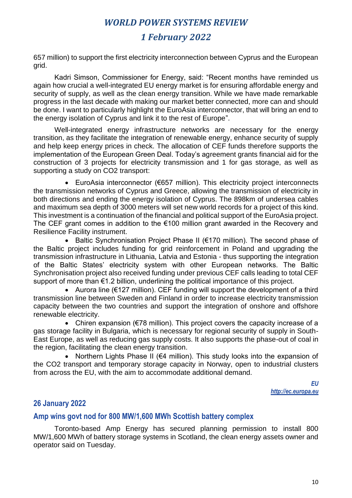# *1 February 2022*

657 million) to support the first electricity interconnection between Cyprus and the European grid.

Kadri Simson, Commissioner for Energy, said: "Recent months have reminded us again how crucial a well-integrated EU energy market is for ensuring affordable energy and security of supply, as well as the clean energy transition. While we have made remarkable progress in the last decade with making our market better connected, more can and should be done. I want to particularly highlight the EuroAsia interconnector, that will bring an end to the energy isolation of Cyprus and link it to the rest of Europe".

Well-integrated energy infrastructure networks are necessary for the energy transition, as they facilitate the integration of renewable energy, enhance security of supply and help keep energy prices in check. The allocation of CEF funds therefore supports the implementation of the European Green Deal. Today's agreement grants financial aid for the construction of 3 projects for electricity transmission and 1 for gas storage, as well as supporting a study on CO2 transport:

• EuroAsia interconnector (€657 million). This electricity project interconnects the transmission networks of Cyprus and Greece, allowing the transmission of electricity in both directions and ending the energy isolation of Cyprus. The 898km of undersea cables and maximum sea depth of 3000 meters will set new world records for a project of this kind. This investment is a continuation of the financial and political support of the EuroAsia project. The CEF grant comes in addition to the €100 million grant awarded in the Recovery and Resilience Facility instrument.

• Baltic Synchronisation Project Phase II (€170 million). The second phase of the Baltic project includes funding for grid reinforcement in Poland and upgrading the transmission infrastructure in Lithuania, Latvia and Estonia - thus supporting the integration of the Baltic States' electricity system with other European networks. The Baltic Synchronisation project also received funding under previous CEF calls leading to total CEF support of more than €1.2 billion, underlining the political importance of this project.

• Aurora line (€127 million). CEF funding will support the development of a third transmission line between Sweden and Finland in order to increase electricity transmission capacity between the two countries and support the integration of onshore and offshore renewable electricity.

• Chiren expansion (€78 million). This project covers the capacity increase of a gas storage facility in Bulgaria, which is necessary for regional security of supply in South-East Europe, as well as reducing gas supply costs. It also supports the phase-out of coal in the region, facilitating the clean energy transition.

• Northern Lights Phase II (€4 million). This study looks into the expansion of the CO2 transport and temporary storage capacity in Norway, open to industrial clusters from across the EU, with the aim to accommodate additional demand.

> *EU http://ec.europa.eu*

## **26 January 2022**

#### **Amp wins govt nod for 800 MW/1,600 MWh Scottish battery complex**

Toronto-based Amp Energy has secured planning permission to install 800 MW/1,600 MWh of battery storage systems in Scotland, the clean energy assets owner and operator said on Tuesday.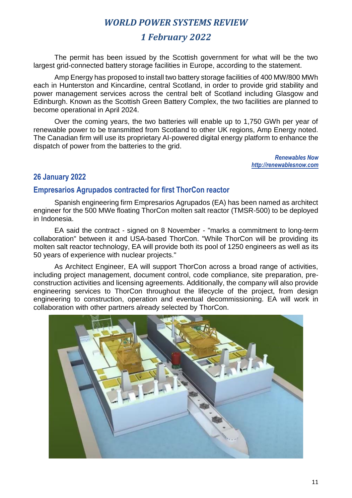# *1 February 2022*

The permit has been issued by the Scottish government for what will be the two largest grid-connected battery storage facilities in Europe, according to the statement.

Amp Energy has proposed to install two battery storage facilities of 400 MW/800 MWh each in Hunterston and Kincardine, central Scotland, in order to provide grid stability and power management services across the central belt of Scotland including Glasgow and Edinburgh. Known as the Scottish Green Battery Complex, the two facilities are planned to become operational in April 2024.

Over the coming years, the two batteries will enable up to 1,750 GWh per year of renewable power to be transmitted from Scotland to other UK regions, Amp Energy noted. The Canadian firm will use its proprietary AI-powered digital energy platform to enhance the dispatch of power from the batteries to the grid.

> *Renewables Now http://renewablesnow.com*

# **26 January 2022**

## **Empresarios Agrupados contracted for first ThorCon reactor**

Spanish engineering firm Empresarios Agrupados (EA) has been named as architect engineer for the 500 MWe floating ThorCon molten salt reactor (TMSR-500) to be deployed in Indonesia.

EA said the contract - signed on 8 November - "marks a commitment to long-term collaboration" between it and USA-based ThorCon. "While ThorCon will be providing its molten salt reactor technology, EA will provide both its pool of 1250 engineers as well as its 50 years of experience with nuclear projects."

As Architect Engineer, EA will support ThorCon across a broad range of activities, including project management, document control, code compliance, site preparation, preconstruction activities and licensing agreements. Additionally, the company will also provide engineering services to ThorCon throughout the lifecycle of the project, from design engineering to construction, operation and eventual decommissioning. EA will work in collaboration with other partners already selected by ThorCon.

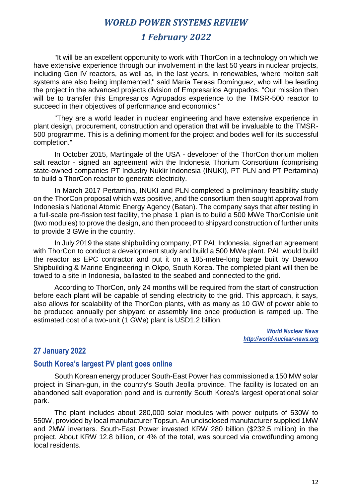# *1 February 2022*

"It will be an excellent opportunity to work with ThorCon in a technology on which we have extensive experience through our involvement in the last 50 years in nuclear projects, including Gen IV reactors, as well as, in the last years, in renewables, where molten salt systems are also being implemented," said María Teresa Domínguez, who will be leading the project in the advanced projects division of Empresarios Agrupados. "Our mission then will be to transfer this Empresarios Agrupados experience to the TMSR-500 reactor to succeed in their objectives of performance and economics."

"They are a world leader in nuclear engineering and have extensive experience in plant design, procurement, construction and operation that will be invaluable to the TMSR-500 programme. This is a defining moment for the project and bodes well for its successful completion."

In October 2015, Martingale of the USA - developer of the ThorCon thorium molten salt reactor - signed an agreement with the Indonesia Thorium Consortium (comprising state-owned companies PT Industry Nuklir Indonesia (INUKI), PT PLN and PT Pertamina) to build a ThorCon reactor to generate electricity.

In March 2017 Pertamina, INUKI and PLN completed a preliminary feasibility study on the ThorCon proposal which was positive, and the consortium then sought approval from Indonesia's National Atomic Energy Agency (Batan). The company says that after testing in a full-scale pre-fission test facility, the phase 1 plan is to build a 500 MWe ThorConIsle unit (two modules) to prove the design, and then proceed to shipyard construction of further units to provide 3 GWe in the country.

In July 2019 the state shipbuilding company, PT PAL Indonesia, signed an agreement with ThorCon to conduct a development study and build a 500 MWe plant. PAL would build the reactor as EPC contractor and put it on a 185-metre-long barge built by Daewoo Shipbuilding & Marine Engineering in Okpo, South Korea. The completed plant will then be towed to a site in Indonesia, ballasted to the seabed and connected to the grid.

According to ThorCon, only 24 months will be required from the start of construction before each plant will be capable of sending electricity to the grid. This approach, it says, also allows for scalability of the ThorCon plants, with as many as 10 GW of power able to be produced annually per shipyard or assembly line once production is ramped up. The estimated cost of a two-unit (1 GWe) plant is USD1.2 billion.

> *World Nuclear News http://world-nuclear-news.org*

### **27 January 2022**

#### **South Korea's largest PV plant goes online**

South Korean energy producer South-East Power has commissioned a 150 MW solar project in Sinan-gun, in the country's South Jeolla province. The facility is located on an abandoned salt evaporation pond and is currently South Korea's largest operational solar park.

The plant includes about 280,000 solar modules with power outputs of 530W to 550W, provided by local manufacturer Topsun. An undisclosed manufacturer supplied 1MW and 2MW inverters. South-East Power invested KRW 280 billion (\$232.5 million) in the project. About KRW 12.8 billion, or 4% of the total, was sourced via crowdfunding among local residents.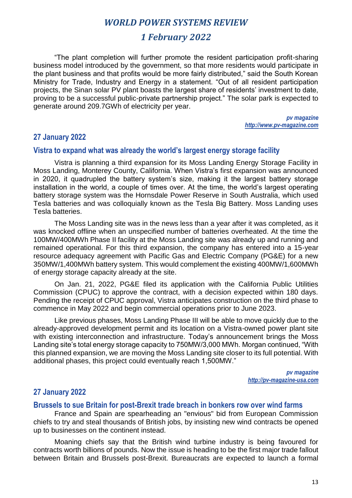# *1 February 2022*

"The plant completion will further promote the resident participation profit-sharing business model introduced by the government, so that more residents would participate in the plant business and that profits would be more fairly distributed," said the South Korean Ministry for Trade, Industry and Energy in a statement. "Out of all resident participation projects, the Sinan solar PV plant boasts the largest share of residents' investment to date, proving to be a successful public-private partnership project." The solar park is expected to generate around 209.7GWh of electricity per year.

> *pv magazine [http://www.pv-magazine.com](http://www.pv-magazine.com/)*

#### **27 January 2022**

#### **Vistra to expand what was already the world's largest energy storage facility**

Vistra is planning a third expansion for its Moss Landing Energy Storage Facility in Moss Landing, Monterey County, California. When Vistra's first expansion was announced in 2020, it quadrupled the battery system's size, making it the largest battery storage installation in the world, a couple of times over. At the time, the world's largest operating battery storage system was the Hornsdale Power Reserve in South Australia, which used Tesla batteries and was colloquially known as the Tesla Big Battery. Moss Landing uses Tesla batteries.

The Moss Landing site was in the news less than a year after it was completed, as it was knocked offline when an unspecified number of batteries overheated. At the time the 100MW/400MWh Phase II facility at the Moss Landing site was already up and running and remained operational. For this third expansion, the company has entered into a 15-year resource adequacy agreement with Pacific Gas and Electric Company (PG&E) for a new 350MW/1,400MWh battery system. This would complement the existing 400MW/1,600MWh of energy storage capacity already at the site.

On Jan. 21, 2022, PG&E filed its application with the California Public Utilities Commission (CPUC) to approve the contract, with a decision expected within 180 days. Pending the receipt of CPUC approval, Vistra anticipates construction on the third phase to commence in May 2022 and begin commercial operations prior to June 2023.

Like previous phases, Moss Landing Phase III will be able to move quickly due to the already-approved development permit and its location on a Vistra-owned power plant site with existing interconnection and infrastructure. Today's announcement brings the Moss Landing site's total energy storage capacity to 750MW/3,000 MWh. Morgan continued, "With this planned expansion, we are moving the Moss Landing site closer to its full potential. With additional phases, this project could eventually reach 1,500MW."

> *pv magazine http://pv-magazine-usa.com*

## **27 January 2022**

#### **Brussels to sue Britain for post-Brexit trade breach in bonkers row over wind farms**

France and Spain are spearheading an "envious" bid from European Commission chiefs to try and steal thousands of British jobs, by insisting new wind contracts be opened up to businesses on the continent instead.

Moaning chiefs say that the British wind turbine industry is being favoured for contracts worth billions of pounds. Now the issue is heading to be the first major trade fallout between Britain and Brussels post-Brexit. Bureaucrats are expected to launch a formal